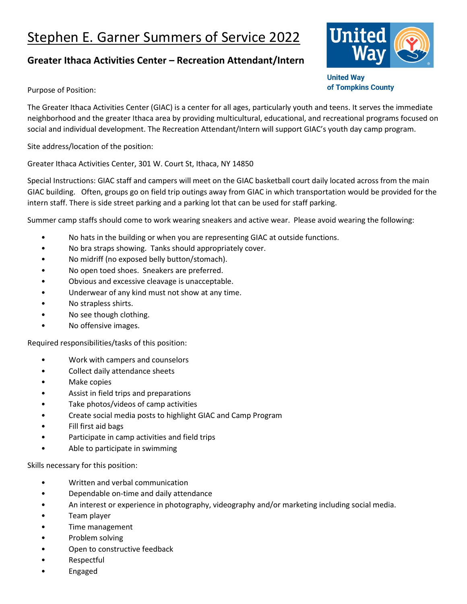## Stephen E. Garner Summers of Service 2022

## **Greater Ithaca Activities Center – Recreation Attendant/Intern**



**United Way** of Tompkins County

Purpose of Position:

The Greater Ithaca Activities Center (GIAC) is a center for all ages, particularly youth and teens. It serves the immediate neighborhood and the greater Ithaca area by providing multicultural, educational, and recreational programs focused on social and individual development. The Recreation Attendant/Intern will support GIAC's youth day camp program.

Site address/location of the position:

Greater Ithaca Activities Center, 301 W. Court St, Ithaca, NY 14850

Special Instructions: GIAC staff and campers will meet on the GIAC basketball court daily located across from the main GIAC building. Often, groups go on field trip outings away from GIAC in which transportation would be provided for the intern staff. There is side street parking and a parking lot that can be used for staff parking.

Summer camp staffs should come to work wearing sneakers and active wear. Please avoid wearing the following:

- No hats in the building or when you are representing GIAC at outside functions.
- No bra straps showing. Tanks should appropriately cover.
- No midriff (no exposed belly button/stomach).
- No open toed shoes. Sneakers are preferred.
- Obvious and excessive cleavage is unacceptable.
- Underwear of any kind must not show at any time.
- No strapless shirts.
- No see though clothing.
- No offensive images.

Required responsibilities/tasks of this position:

- Work with campers and counselors
- Collect daily attendance sheets
- Make copies
- Assist in field trips and preparations
- Take photos/videos of camp activities
- Create social media posts to highlight GIAC and Camp Program
- Fill first aid bags
- Participate in camp activities and field trips
- Able to participate in swimming

Skills necessary for this position:

- Written and verbal communication
- Dependable on-time and daily attendance
- An interest or experience in photography, videography and/or marketing including social media.
- Team player
- Time management
- Problem solving
- Open to constructive feedback
- Respectful
- Engaged